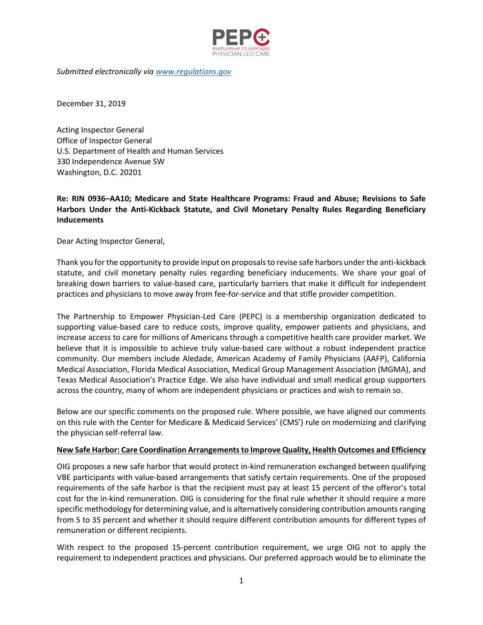

*Submitted electronically via [www.regulations.gov](http://www.regulations.gov/)*

December 31, 2019

Acting Inspector General Office of Inspector General U.S. Department of Health and Human Services 330 Independence Avenue SW Washington, D.C. 20201

# **Re: RIN 0936–AA10; Medicare and State Healthcare Programs: Fraud and Abuse; Revisions to Safe Harbors Under the Anti-Kickback Statute, and Civil Monetary Penalty Rules Regarding Beneficiary Inducements**

Dear Acting Inspector General,

Thank you for the opportunity to provide input on proposals to revise safe harbors under the anti-kickback statute, and civil monetary penalty rules regarding beneficiary inducements. We share your goal of breaking down barriers to value-based care, particularly barriers that make it difficult for independent practices and physicians to move away from fee-for-service and that stifle provider competition.

The Partnership to Empower Physician-Led Care (PEPC) is a membership organization dedicated to supporting value-based care to reduce costs, improve quality, empower patients and physicians, and increase access to care for millions of Americans through a competitive health care provider market. We believe that it is impossible to achieve truly value-based care without a robust independent practice community. Our members include Aledade, American Academy of Family Physicians (AAFP), California Medical Association, Florida Medical Association, Medical Group Management Association (MGMA), and Texas Medical Association's Practice Edge. We also have individual and small medical group supporters across the country, many of whom are independent physicians or practices and wish to remain so.

Below are our specific comments on the proposed rule. Where possible, we have aligned our comments on this rule with the Center for Medicare & Medicaid Services' (CMS') rule on modernizing and clarifying the physician self-referral law.

#### **New Safe Harbor: Care Coordination Arrangements to Improve Quality, Health Outcomes and Efficiency**

OIG proposes a new safe harbor that would protect in-kind remuneration exchanged between qualifying VBE participants with value-based arrangements that satisfy certain requirements. One of the proposed requirements of the safe harbor is that the recipient must pay at least 15 percent of the offeror's total cost for the in-kind remuneration. OIG is considering for the final rule whether it should require a more specific methodology for determining value, and is alternatively considering contribution amounts ranging from 5 to 35 percent and whether it should require different contribution amounts for different types of remuneration or different recipients.

With respect to the proposed 15-percent contribution requirement, we urge OIG not to apply the requirement to independent practices and physicians. Our preferred approach would be to eliminate the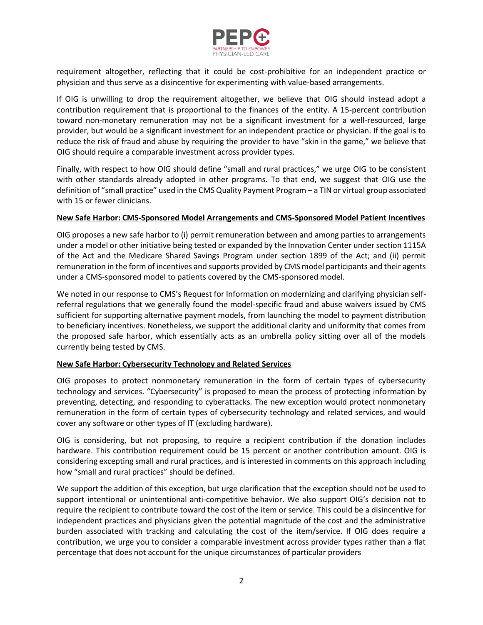

requirement altogether, reflecting that it could be cost-prohibitive for an independent practice or physician and thus serve as a disincentive for experimenting with value-based arrangements.

If OIG is unwilling to drop the requirement altogether, we believe that OIG should instead adopt a contribution requirement that is proportional to the finances of the entity. A 15-percent contribution toward non-monetary remuneration may not be a significant investment for a well-resourced, large provider, but would be a significant investment for an independent practice or physician. If the goal is to reduce the risk of fraud and abuse by requiring the provider to have "skin in the game," we believe that OIG should require a comparable investment across provider types.

Finally, with respect to how OIG should define "small and rural practices," we urge OIG to be consistent with other standards already adopted in other programs. To that end, we suggest that OIG use the definition of "small practice" used in the CMS Quality Payment Program – a TIN or virtual group associated with 15 or fewer clinicians.

### **New Safe Harbor: CMS-Sponsored Model Arrangements and CMS-Sponsored Model Patient Incentives**

OIG proposes a new safe harbor to (i) permit remuneration between and among parties to arrangements under a model or other initiative being tested or expanded by the Innovation Center under section 1115A of the Act and the Medicare Shared Savings Program under section 1899 of the Act; and (ii) permit remuneration in the form of incentives and supports provided by CMS model participants and their agents under a CMS-sponsored model to patients covered by the CMS-sponsored model.

We noted in our response to CMS's Request for Information on modernizing and clarifying physician selfreferral regulations that we generally found the model-specific fraud and abuse waivers issued by CMS sufficient for supporting alternative payment models, from launching the model to payment distribution to beneficiary incentives. Nonetheless, we support the additional clarity and uniformity that comes from the proposed safe harbor, which essentially acts as an umbrella policy sitting over all of the models currently being tested by CMS.

## **New Safe Harbor: Cybersecurity Technology and Related Services**

OIG proposes to protect nonmonetary remuneration in the form of certain types of cybersecurity technology and services. "Cybersecurity" is proposed to mean the process of protecting information by preventing, detecting, and responding to cyberattacks. The new exception would protect nonmonetary remuneration in the form of certain types of cybersecurity technology and related services, and would cover any software or other types of IT (excluding hardware).

OIG is considering, but not proposing, to require a recipient contribution if the donation includes hardware. This contribution requirement could be 15 percent or another contribution amount. OIG is considering excepting small and rural practices, and is interested in comments on this approach including how "small and rural practices" should be defined.

We support the addition of this exception, but urge clarification that the exception should not be used to support intentional or unintentional anti-competitive behavior. We also support OIG's decision not to require the recipient to contribute toward the cost of the item or service. This could be a disincentive for independent practices and physicians given the potential magnitude of the cost and the administrative burden associated with tracking and calculating the cost of the item/service. If OIG does require a contribution, we urge you to consider a comparable investment across provider types rather than a flat percentage that does not account for the unique circumstances of particular providers